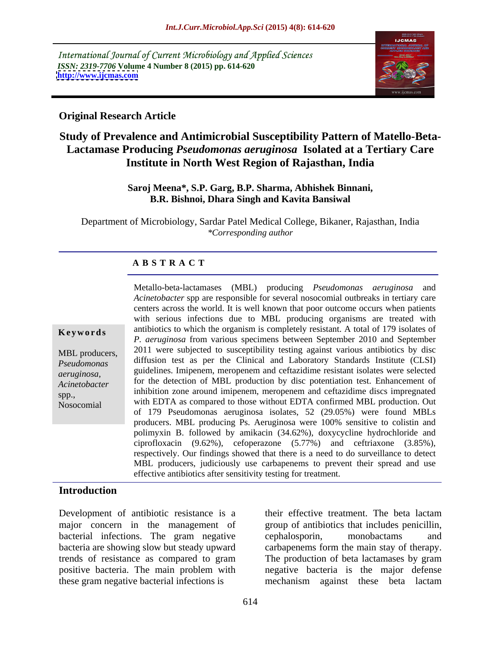International Journal of Current Microbiology and Applied Sciences *ISSN: 2319-7706* **Volume 4 Number 8 (2015) pp. 614-620 <http://www.ijcmas.com>**



# **Original Research Article**

# **Study of Prevalence and Antimicrobial Susceptibility Pattern of Matello-Beta- Lactamase Producing** *Pseudomonas aeruginosa* **Isolated at a Tertiary Care Institute in North West Region of Rajasthan, India**

### **Saroj Meena\*, S.P. Garg, B.P. Sharma, Abhishek Binnani, B.R. Bishnoi, Dhara Singh and Kavita Bansiwal**

Department of Microbiology, Sardar Patel Medical College, Bikaner, Rajasthan, India *\*Corresponding author*

### **A B S T R A C T**

Nosocomial

Metallo-beta-lactamases (MBL) producing *Pseudomonas aeruginosa* and *Acinetobacter* spp are responsible for several nosocomial outbreaks in tertiary care centers across the world. It is well known that poor outcome occurs when patients with serious infections due to MBL producing organisms are treated with **Keywords** antibiotics to which the organism is completely resistant. A total of 179 isolates of *P. aeruginosa* from various specimens between September 2010 and September MBL producers, 2011 were subjected to susceptibility testing against various antibiotics by disc diffusion test as per the Clinical and Laboratory Standards Institute (CLSI) *Pseudomonas*  guidelines. Imipenem, meropenem and ceftazidime resistant isolates were selected *aeruginosa,* Acinetobacter for the detection of MBL production by disc potentiation test. Enhancement of inhibition zone around imipenem, meropenem and ceftazidime discs impregnated spp., with EDTA as compared to those without EDTA confirmed MBL production. Out of 179 Pseudomonas aeruginosa isolates, 52 (29.05%) were found MBLs producers. MBL producing Ps. Aeruginosa were 100% sensitive to colistin and polimyxin B. followed by amikacin (34.62%), doxycycline hydrochloride and ciprofloxacin (9.62%), cefoperazone (5.77%) and ceftriaxone (3.85%), respectively. Our findings showed that there is a need to do surveillance to detect MBL producers, judiciously use carbapenems to prevent their spread and use effective antibiotics after sensitivity testing for treatment.

### **Introduction**

Development of antibiotic resistance is a bacterial infections. The gram negative cephalosporin, monobactams and these gram negative bacterial infections is mechanism against these beta lactam

major concern in the management of group of antibiotics that includes penicillin, bacteria are showing slow but steady upward carbapenems form the main stay of therapy. trends of resistance as compared to gram The production of beta lactamases by gram positive bacteria. The main problem with negative bacteria is the major defense their effective treatment. The beta lactam cephalosporin, monobactams and mechanism against these beta lactam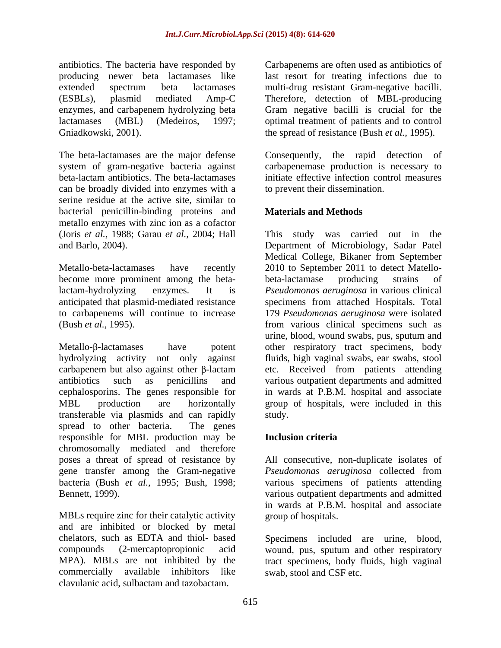antibiotics. The bacteria have responded by producing newer beta lactamases like last resort for treating infections due to extended spectrum beta lactamases multi-drug resistant Gram-negative bacilli. (ESBLs), plasmid mediated Amp-C Therefore, detection of MBL-producing enzymes, and carbapenem hydrolyzing beta lactamases (MBL) (Medeiros, 1997; optimal treatment of patients and to control Gniadkowski, 2001). the spread of resistance (Bush *et al.*, 1995).

The beta-lactamases are the major defense Consequently, the rapid detection of system of gram-negative bacteria against carbapenemase production is necessary to beta-lactam antibiotics. The beta-lactamases can be broadly divided into enzymes with a serine residue at the active site, similar to bacterial penicillin-binding proteins and metallo enzymes with zinc ion as a cofactor

Metallo-beta-lactamases have recently 2010 to September 2011 to detect Matello become more prominent among the beta-<br>beta-lactamase producing strains of lactam-hydrolyzing enzymes. It is *Pseudomonas aeruginosa* in various clinical anticipated that plasmid-mediated resistance specimens from attached Hospitals. Total to carbapenems will continue to increase 179 *Pseudomonas aeruginosa* were isolated

Metallo-β-lactamases have potent other respiratory tract specimens, body hydrolyzing activity not only against fluids, high vaginal swabs, ear swabs, stool carbapenem but also against other  $\beta$ -lactam etc. Received from patients attending antibiotics such as penicillins and various outpatient departments and admitted cephalosporins. The genes responsible for in wards at P.B.M. hospital and associate MBL production are horizontally group of hospitals, were included in this transferable via plasmids and can rapidly spread to other bacteria. The genes responsible for MBL production may be chromosomally mediated and therefore poses a threat of spread of resistance by All consecutive, non-duplicate isolates of gene transfer among the Gram-negative bacteria (Bush *et al.,* 1995; Bush, 1998; various specimens of patients attending

and are inhibited or blocked by metal chelators, such as EDTA and thiol- based Specimens included are urine, blood, compounds (2-mercaptopropionic acid wound, pus, sputum and other respiratory MPA). MBLs are not inhibited by the tract specimens, body fluids, high vaginal commercially available inhibitors like clavulanic acid, sulbactam and tazobactam.

Carbapenems are often used as antibiotics of Gram negative bacilli is crucial for the

Consequently, the rapid detection of initiate effective infection control measures to prevent their dissemination.

### **Materials and Methods**

(Joris *et al.,* 1988; Garau *et al.,* 2004; Hall This study was carried out in the and Barlo, 2004). Department of Microbiology, Sadar Patel (Bush *et al.*, 1995). from various clinical specimens such as Medical College, Bikaner from September beta-lactamase producing strains of urine, blood, wound swabs, pus, sputum and study.

### **Inclusion criteria**

Bennett, 1999).<br>
Warious outpatient departments and admitted<br>
in wards at P.B.M. hospital and associate<br>
MBLs require zinc for their catalytic activity<br>
methods of hospitals. *Pseudomonas aeruginosa* collected from various outpatient departments and admitted in wards at P.B.M. hospital and associate group of hospitals.

swab, stool and CSF etc.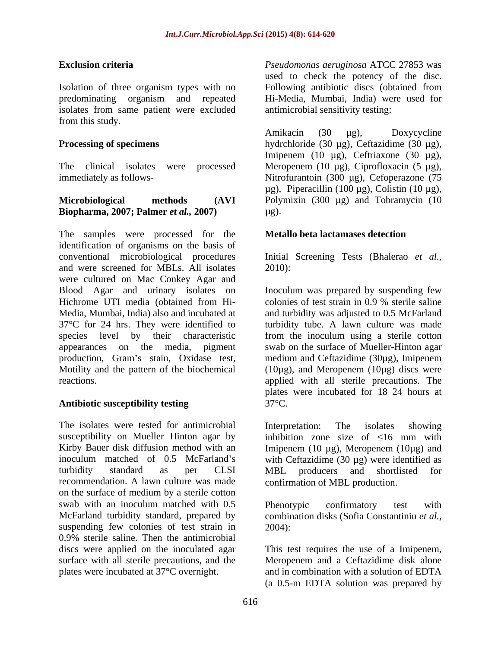Isolation of three organism types with no Following antibiotic discs (obtained from predominating organism and repeated Hi-Media, Mumbai, India) were used for isolates from same patient were excluded from this study.

# **Biopharma, 2007; Palmer** *et al.***, 2007) [µg].**

The samples were processed for the **Metallo beta lactamases detection** identification of organisms on the basis of conventional microbiological procedures Initial Screening Tests (Bhalerao *et al.,* and were screened for MBLs. All isolates 2010): were cultured on Mac Conkey Agar and Blood Agar and urinary isolates on Inoculum was prepared by suspending few Hichrome UTI media (obtained from Hi-<br>colonies of test strain in 0.9 % sterile saline Media, Mumbai, India) also and incubated at and turbidity was adjusted to 0.5 McFarland 37°C for 24 hrs. They were identified to turbidity tube. A lawn culture was made species level by their characteristic from the inoculum using a sterile cotton appearances on the media, pigment swab on the surface of Mueller-Hinton agar production, Gram's stain, Oxidase test, medium and Ceftazidime (30µg), Imipenem Motility and the pattern of the biochemical  $(10\mu g)$ , and Meropenem  $(10\mu g)$  discs were

# Antibiotic susceptibility testing 37<sup>o</sup>C.

The isolates were tested for antimicrobial Interpretation: The isolates showing susceptibility on Mueller Hinton agar by inhibition zone size of  $\leq 16$  mm with Kirby Bauer disk diffusion method with an Imipenem (10 µg), Meropenem (10µg) and inoculum matched of  $0.5$  McFarland's with Ceftazidime  $(30 \mu g)$  were identified as turbidity standard as per CLSI MBL producers and shortlisted for recommendation. A lawn culture was made on the surface of medium by a sterile cotton swab with an inoculum matched with 0.5 Phenotypic confirmatory test with McFarland turbidity standard, prepared by combination disks (Sofia Constantiniu *et al.,* suspending few colonies of test strain in  $2004$ : 0.9% sterile saline. Then the antimicrobial discs were applied on the inoculated agar This test requires the use of a Imipenem, surface with all sterile precautions, and the plates were incubated at 37°C overnight. and in combination with a solution of EDTA

**Exclusion criteria** *Pseudomonas aeruginosa* ATCC 27853 was used to check the potency of the disc. Following antibiotic discs (obtained from antimicrobial sensitivity testing:

**Processing of specimens** hydrchloride (30 µg), Ceftazidime (30 µg), The clinical isolates were processed Meropenem (10 µg), Ciprofloxacin (5 µg), immediately as follows- Nitrofurantoin (300 µg), Cefoperazone (75 **Microbiological methods (AVI** Polymixin (300 µg) and Tobramycin (10 Amikacin (30 µg), Doxycycline Imipenem (10 µg), Ceftriaxone (30 µg), µg), Piperacillin (100 µg), Colistin (10 µg),  $\mu$ g).

### **Metallo beta lactamases detection**

2010):

reactions. applied with all sterile precautions. The colonies of test strain in 0.9 % sterile saline plates were incubated for 18–24 hours at  $37^{\circ}$ C.

> Interpretation: The isolates showing inhibition zone size of  $\leq 16$  mm with MBL producers and shortlisted for confirmation of MBL production.

Phenotypic confirmatory test with 2004):

Meropenem and a Ceftazidime disk alone (a 0.5-m EDTA solution was prepared by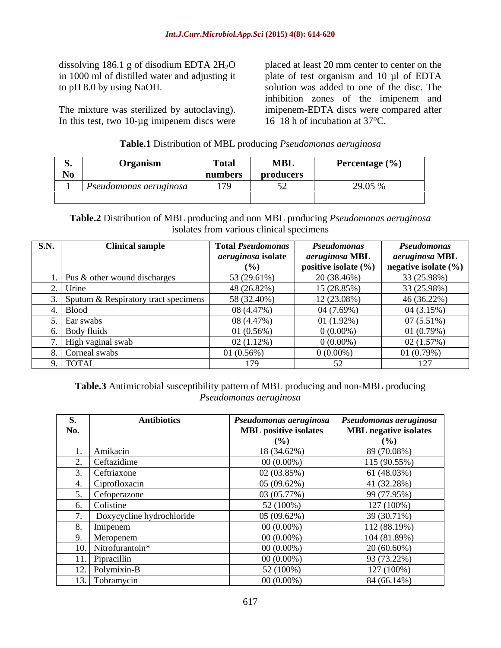dissolving 186.1 g of disodium EDTA  $2H_2O$  placed at least 20 mm center to center on the

In this test, two 10-µg imipenem discs were

in 1000 ml of distilled water and adjusting it plate of test organism and 10 µl of EDTA to pH 8.0 by using NaOH. solution was added to one of the disc. The The mixture was sterilized by autoclaving). imipenem-EDTA discs were compared after inhibition zones of the imipenem and 16–18 h of incubation at  $37^{\circ}$ C.

### **Table.1** Distribution of MBL producing *Pseudomonas aeruginosa*

| .    | <b>Organ</b>     | <b>Total</b>  | <b>MBL</b>                                | <b>Percentage</b> $(\% )$<br>the contract of the contract of the contract of the contract of the contract of the contract of the contract of |
|------|------------------|---------------|-------------------------------------------|----------------------------------------------------------------------------------------------------------------------------------------------|
| IND. |                  | numbers       | produc<br>36 I.N                          |                                                                                                                                              |
|      | monas aeruginosa | $\sim$ $\sim$ | $\sim$ $\sim$<br>$\overline{\phantom{a}}$ | $20.05 \mu$<br>20.00                                                                                                                         |
|      |                  |               |                                           |                                                                                                                                              |

# **Table.2** Distribution of MBL producing and non MBL producing *Pseudomonas aeruginosa* isolates from various clinical specimens

| <b>S.N.</b> | <b>Clinical sample</b>                 | <b>Total Pseudomonas</b>  | Pseudomonas              | Pseudomonas                      |
|-------------|----------------------------------------|---------------------------|--------------------------|----------------------------------|
|             |                                        | <i>aeruginosa</i> isolate | aeruginosa MBL           | aeruginosa MBL                   |
|             |                                        |                           | positive isolate $(\% )$ | $\perp$ negative isolate $(\% )$ |
|             | $\log k$ other wound discharges        | 53 (29.61%)               | 20 (38.46%)              | 33 (25.98%)                      |
|             | $2.1$ Urine                            | 48 (26.82%)               | 15 (28.85%)              | 33 (25.98%)                      |
|             | . Sputum & Respiratory tract specimens | 58 (32.40%)               | 12 (23.08%)              | $46(36.22\%)$                    |
|             | <b>Blood</b>                           | 08 (4.47%)                | 04(7.69%)                | 04(3.15%)                        |
|             | i. Ear swabs                           | 08 (4.47%)                | $01(1.92\%)$             | $07(5.51\%)$                     |
|             | 6. Body fluids                         | 01(0.56%)                 | $0(0.00\%)$              | 01(0.79%)                        |
|             | High vaginal swab                      | 02(1.12%)                 | $0(0.00\%)$              | 02(1.57%)                        |
|             | 8. Corneal swabs                       | $01(0.56\%)$              | $0(0.00\%)$              | 01(0.79%)                        |
|             | 9. TOTAL                               | 179                       |                          | 127                              |

### **Table.3** Antimicrobial susceptibility pattern of MBL producing and non-MBL producing *Pseudomonas aeruginosa*

| ♪   | <b>Antibiotics</b>              | Pseudomonas aeruginosa       | Pseudomonas aeruginosa         |
|-----|---------------------------------|------------------------------|--------------------------------|
| No. |                                 | <b>MBL</b> positive isolates | <b>MBL negative isolates</b>   |
|     |                                 | $($ %)                       | $\gamma$ <sub>0</sub> $\gamma$ |
|     | Amikacin                        | 18 (34.62%)                  | 89 (70.08%)                    |
|     | Ceftazidime                     | $00(0.00\%)$                 | 115 (90.55%)                   |
|     | Ceftriaxone                     | 02 (03.85%)                  | 61 (48.03%)                    |
|     | Ciprofloxacin                   | 05(09.62%)                   | 41 (32.28%)                    |
|     | Cefoperazone                    | 03 (05.77%)                  | 99 (77.95%)                    |
|     | Colistine                       | 52 (100%)                    | 127 (100%)                     |
|     | Doxycycline hydrochloride       | 05(09.62%)                   | 39 (30.71%)                    |
|     | Imipenem                        | $00(0.00\%)$                 | 112 (88.19%)                   |
|     | Meropenem                       | $00(0.00\%)$                 | 104 (81.89%)                   |
|     | 10. Nitrofurantoin <sup>*</sup> | $00(0.00\%)$                 | $20(60.60\%)$                  |
|     | 11. Pipracillin                 | $00(0.00\%)$                 | 93 (73.22%)                    |
|     | 12. Polymixin-B                 | 52 (100%)                    | 127 (100%)                     |
|     | 13. Tobramycin                  | $00(0.00\%)$                 | 84 (66.14%)                    |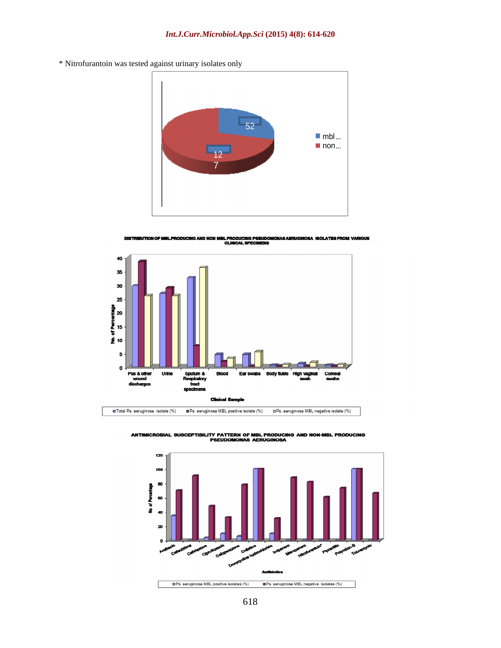\* Nitrofurantoin was tested against urinary isolates only



DISTRIBUTION OF MBLPRODUCING AND NON MBLPRODUCING PSEUDOMONAS AERUGINOSA ISOLATES FROM VARIOUS<br>CLINICAL SPECIMENS



ANTIMICROBIAL SUSCEPTIBILITY PATTERN OF MBL PRODUCING AND NON-MBL PRODUCING<br>PSEUDOMONAS AERUGINOSA

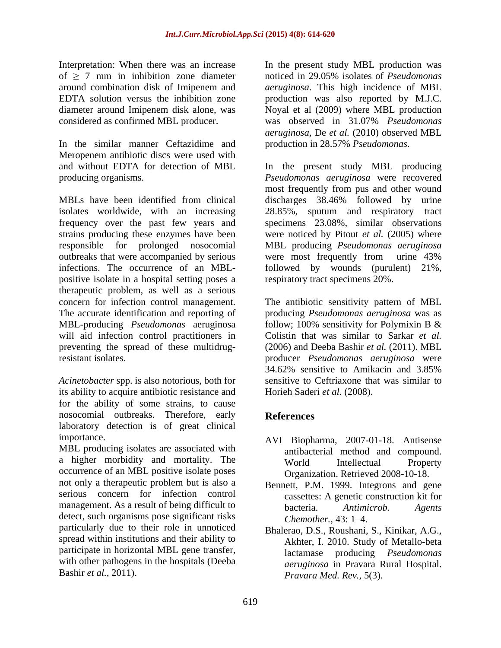In the similar manner Ceftazidime and production in 28.57% Pseudomonas. Meropenem antibiotic discs were used with and without EDTA for detection of MBL In the present study MBL producing

MBLs have been identified from clinical discharges 38.46% followed by urine isolates worldwide, with an increasing 28.85%, sputum and respiratory tract frequency over the past few years and strains producing these enzymes have been were noticed by Pitout *et al.* (2005) where responsible for prolonged nosocomial MBL producing *Pseudomonas aeruginosa* outbreaks that were accompanied by serious were most frequently from urine 43% infections. The occurrence of an MBL- followed by wounds (purulent) 21%, positive isolate in a hospital setting poses a therapeutic problem, as well as a serious concern for infection control management. The antibiotic sensitivity pattern of MBL The accurate identification and reporting of producing *Pseudomonas aeruginosa* was as MBL-producing *Pseudomonas* aeruginosa follow; 100% sensitivity for Polymixin B & will aid infection control practitioners in Colistin that was similar to Sarkar et al. preventing the spread of these multidrug- (2006) and Deeba Bashir *et al.* (2011). MBL resistant isolates. producer *Pseudomonas aeruginosa* were

*Acinetobacter* spp. is also notorious, both for its ability to acquire antibiotic resistance and for the ability of some strains, to cause nosocomial outbreaks. Therefore, early laboratory detection is of great clinical

MBL producing isolates are associated with a higher morbidity and mortality. The world Intellectual Property occurrence of an MBL positive isolate poses not only a therapeutic problem but is also a serious concern for infection control management. As a result of being difficult to bacteria. Antimicrob. Agents detect, such organisms pose significant risks Chemother. 43:1-4. particularly due to their role in unnoticed spread within institutions and their ability to participate in horizontal MBL gene transfer, with other pathogens in the hospitals (Deeba Bashir *et al.*, 2011).

Interpretation: When there was an increase In the present study MBL production was of  $\geq$  7 mm in inhibition zone diameter and in 29.05% isolates of *Pseudomonas* around combination disk of Imipenem and *aeruginosa*. This high incidence of MBL EDTA solution versus the inhibition zone production was also reported by M.J.C. diameter around Imipenem disk alone, was Noyal et al (2009) where MBL production considered as confirmed MBL producer. was observed in 31.07% *Pseudomonas aeruginosa*, De *et al.* (2010) observed MBL

producing organisms. *Pseudomonas aeruginosa* were recovered production in 28.57% *Pseudomonas*.<br>In the present study MBL producing most frequently from pus and other wound discharges 38.46% followed by urine specimens 23.08%, similar observations were most frequently from urine 43% respiratory tract specimens 20%.

> Colistin that was similar to Sarkar *et al.* (2006) and Deeba Bashir *et al.* (2011). MBL 34.62% sensitive to Amikacin and 3.85% sensitive to Ceftriaxone that was similar to Horieh Saderi et al. (2008).

# **References**

- importance. AVI Biopharma, 2007-01-18. Antisense antibacterial method and compound. World Intellectual Property Organization. Retrieved 2008-10-18.
	- Bennett, P.M. 1999. Integrons and gene cassettes: A genetic construction kit for bacteria. *Antimicrob. Agents Chemother.,* 43: 1–4.
- Bashir *et al.,* 2011). *Pravara Med. Rev.,* 5(3).Bhalerao, D.S., Roushani, S., Kinikar, A.G., Akhter, I. 2010. Study of Metallo-beta lactamase producing *Pseudomonas aeruginosa* in Pravara Rural Hospital.